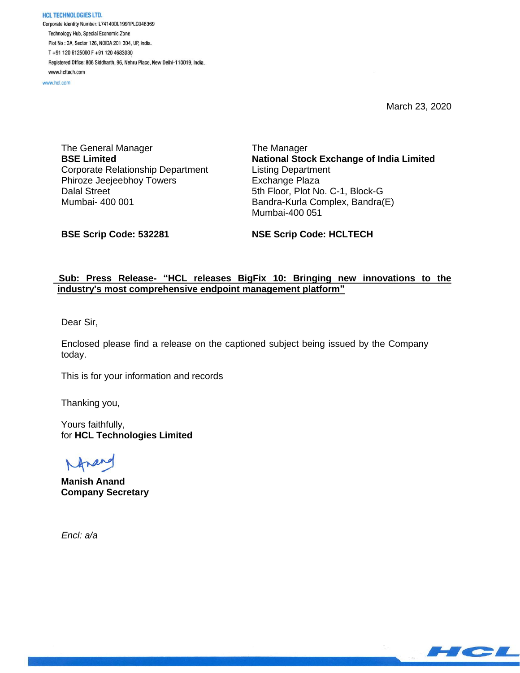**HCL TECHNOLOGIES LTD.** Corporate Identity Number: L74140DL1991PLC046369 Technology Hub, Special Economic Zone Plot No: 3A, Sector 126, NOIDA 201 304, UP, India. T+91 120 6125000 F+91 120 4683030 Registered Office: 806 Siddharth, 96, Nehru Place, New Delhi-110019, India. www.hcltech.com

www.hcl.com

March 23, 2020

The General Manager **BSE Limited** Corporate Relationship Department Phiroze Jeejeebhoy Towers Dalal Street Mumbai- 400 001

The Manager **National Stock Exchange of India Limited** Listing Department Exchange Plaza 5th Floor, Plot No. C-1, Block-G Bandra-Kurla Complex, Bandra(E) Mumbai-400 051

**BSE Scrip Code: 532281**

**NSE Scrip Code: HCLTECH**

## **Sub: Press Release- "HCL releases BigFix 10: Bringing new innovations to the industry's most comprehensive endpoint management platform"**

Dear Sir,

Enclosed please find a release on the captioned subject being issued by the Company today.

This is for your information and records

Thanking you,

Yours faithfully, for **HCL Technologies Limited**

**Manish Anand Company Secretary**

 *Encl: a/a*

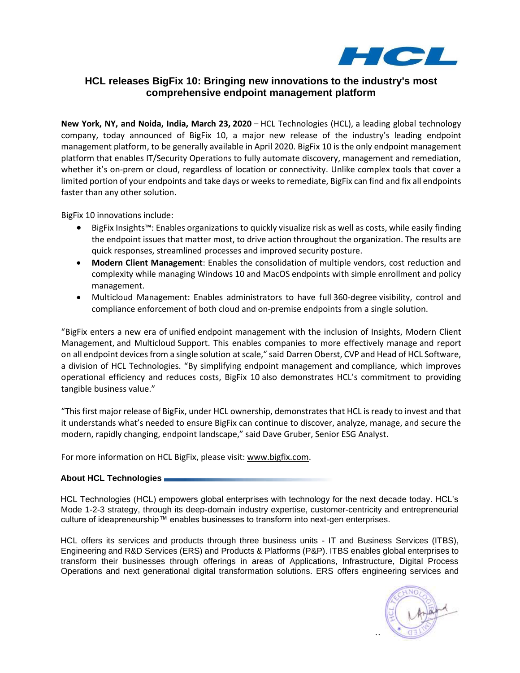

# **HCL releases BigFix 10: Bringing new innovations to the industry's most comprehensive endpoint management platform**

**New York, NY, and Noida, India, March 23, 2020** – HCL Technologies (HCL), a leading global technology company, today announced of BigFix 10, a major new release of the industry's leading endpoint management platform, to be generally available in April 2020. BigFix 10 is the only endpoint management platform that enables IT/Security Operations to fully automate discovery, management and remediation, whether it's on-prem or cloud, regardless of location or connectivity. Unlike complex tools that cover a limited portion of your endpoints and take days or weeks to remediate, BigFix can find and fix all endpoints faster than any other solution.

BigFix 10 innovations include:

- BigFix Insights™: Enables organizations to quickly visualize risk as well as costs, while easily finding the endpoint issues that matter most, to drive action throughout the organization. The results are quick responses, streamlined processes and improved security posture.
- **Modern Client Management**: Enables the consolidation of multiple vendors, cost reduction and complexity while managing Windows 10 and MacOS endpoints with simple enrollment and policy management.
- Multicloud Management: Enables administrators to have full 360-degree visibility, control and compliance enforcement of both cloud and on-premise endpoints from a single solution.

"BigFix enters a new era of unified endpoint management with the inclusion of Insights, Modern Client Management, and Multicloud Support. This enables companies to more effectively manage and report on all endpoint devices from a single solution at scale," said Darren Oberst, CVP and Head of HCL Software, a division of HCL Technologies. "By simplifying endpoint management and compliance, which improves operational efficiency and reduces costs, BigFix 10 also demonstrates HCL's commitment to providing tangible business value."

"This first major release of BigFix, under HCL ownership, demonstrates that HCL is ready to invest and that it understands what's needed to ensure BigFix can continue to discover, analyze, manage, and secure the modern, rapidly changing, endpoint landscape," said Dave Gruber, Senior ESG Analyst.

For more information on HCL BigFix, please visit: [www.bigfix.com.](http://www.bigfix.com/)

## **About HCL Technologies**

HCL Technologies (HCL) empowers global enterprises with technology for the next decade today. HCL's Mode 1-2-3 strategy, through its deep-domain industry expertise, customer-centricity and entrepreneurial culture of ideapreneurship™ enables businesses to transform into next-gen enterprises.

HCL offers its services and products through three business units - IT and Business Services (ITBS), Engineering and R&D Services (ERS) and Products & Platforms (P&P). ITBS enables global enterprises to transform their businesses through offerings in areas of Applications, Infrastructure, Digital Process Operations and next generational digital transformation solutions. ERS offers engineering services and